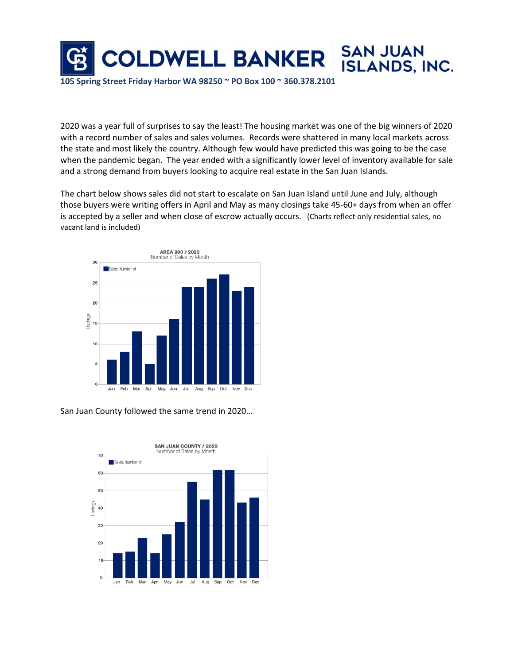

2020 was a year full of surprises to say the least! The housing market was one of the big winners of 2020 with a record number of sales and sales volumes. Records were shattered in many local markets across the state and most likely the country. Although few would have predicted this was going to be the case when the pandemic began. The year ended with a significantly lower level of inventory available for sale and a strong demand from buyers looking to acquire real estate in the San Juan Islands.

The chart below shows sales did not start to escalate on San Juan Island until June and July, although those buyers were writing offers in April and May as many closings take 45-60+ days from when an offer is accepted by a seller and when close of escrow actually occurs. (Charts reflect only residential sales, no vacant land is included)



San Juan County followed the same trend in 2020…

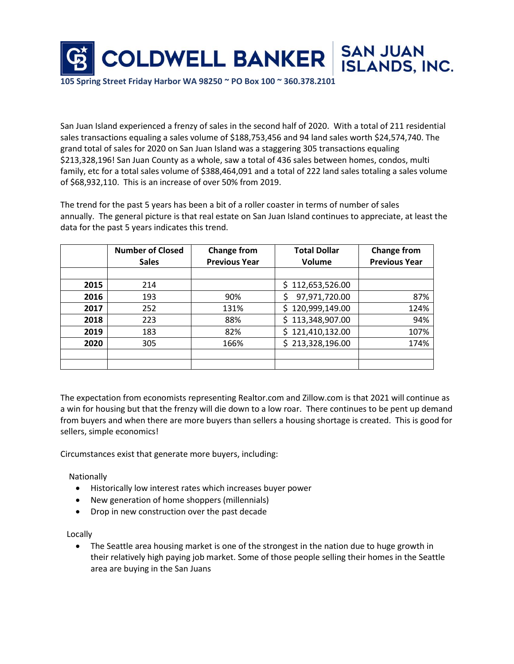

**105 Spring Street Friday Harbor WA 98250 ~ PO Box 100 ~ 360.378.2101**

San Juan Island experienced a frenzy of sales in the second half of 2020. With a total of 211 residential sales transactions equaling a sales volume of \$188,753,456 and 94 land sales worth \$24,574,740. The grand total of sales for 2020 on San Juan Island was a staggering 305 transactions equaling \$213,328,196! San Juan County as a whole, saw a total of 436 sales between homes, condos, multi family, etc for a total sales volume of \$388,464,091 and a total of 222 land sales totaling a sales volume of \$68,932,110. This is an increase of over 50% from 2019.

The trend for the past 5 years has been a bit of a roller coaster in terms of number of sales annually. The general picture is that real estate on San Juan Island continues to appreciate, at least the data for the past 5 years indicates this trend.

|      | <b>Number of Closed</b><br><b>Sales</b> | <b>Change from</b><br><b>Previous Year</b> | <b>Total Dollar</b><br>Volume | <b>Change from</b><br><b>Previous Year</b> |
|------|-----------------------------------------|--------------------------------------------|-------------------------------|--------------------------------------------|
|      |                                         |                                            |                               |                                            |
| 2015 | 214                                     |                                            | \$112,653,526.00              |                                            |
| 2016 | 193                                     | 90%                                        | 97,971,720.00                 | 87%                                        |
| 2017 | 252                                     | 131%                                       | \$120,999,149.00              | 124%                                       |
| 2018 | 223                                     | 88%                                        | \$113,348,907.00              | 94%                                        |
| 2019 | 183                                     | 82%                                        | \$121,410,132.00              | 107%                                       |
| 2020 | 305                                     | 166%                                       | \$213,328,196.00              | 174%                                       |
|      |                                         |                                            |                               |                                            |
|      |                                         |                                            |                               |                                            |

The expectation from economists representing Realtor.com and Zillow.com is that 2021 will continue as a win for housing but that the frenzy will die down to a low roar. There continues to be pent up demand from buyers and when there are more buyers than sellers a housing shortage is created. This is good for sellers, simple economics!

Circumstances exist that generate more buyers, including:

Nationally

- Historically low interest rates which increases buyer power
- New generation of home shoppers (millennials)
- Drop in new construction over the past decade

Locally

• The Seattle area housing market is one of the strongest in the nation due to huge growth in their relatively high paying job market. Some of those people selling their homes in the Seattle area are buying in the San Juans